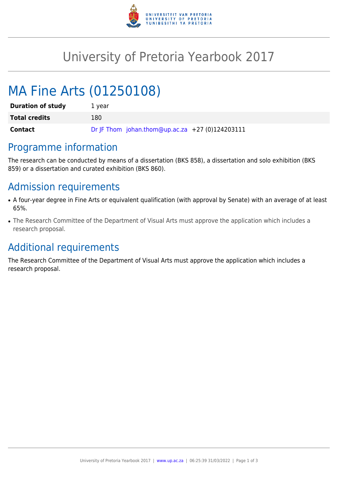

# University of Pretoria Yearbook 2017

# MA Fine Arts (01250108)

| <b>Duration of study</b> | 1 year                                          |
|--------------------------|-------------------------------------------------|
| <b>Total credits</b>     | 180                                             |
| Contact                  | Dr JF Thom johan.thom@up.ac.za +27 (0)124203111 |

# Programme information

The research can be conducted by means of a dissertation (BKS 858), a dissertation and solo exhibition (BKS 859) or a dissertation and curated exhibition (BKS 860).

# Admission requirements

- A four-year degree in Fine Arts or equivalent qualification (with approval by Senate) with an average of at least 65%.
- The Research Committee of the Department of Visual Arts must approve the application which includes a research proposal.

# Additional requirements

The Research Committee of the Department of Visual Arts must approve the application which includes a research proposal.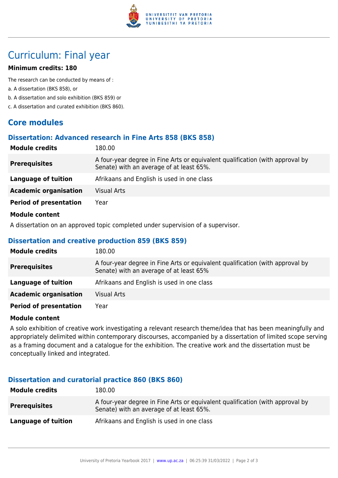

# Curriculum: Final year

## **Minimum credits: 180**

The research can be conducted by means of :

- a. A dissertation (BKS 858), or
- b. A dissertation and solo exhibition (BKS 859) or
- c. A dissertation and curated exhibition (BKS 860).

# **Core modules**

## **Dissertation: Advanced research in Fine Arts 858 (BKS 858)**

| <b>Module credits</b>         | 180.00                                                                                                                    |
|-------------------------------|---------------------------------------------------------------------------------------------------------------------------|
| <b>Prerequisites</b>          | A four-year degree in Fine Arts or equivalent qualification (with approval by<br>Senate) with an average of at least 65%. |
| Language of tuition           | Afrikaans and English is used in one class                                                                                |
| <b>Academic organisation</b>  | <b>Visual Arts</b>                                                                                                        |
| <b>Period of presentation</b> | Year                                                                                                                      |
| <b>Module content</b>         |                                                                                                                           |

A dissertation on an approved topic completed under supervision of a supervisor.

## **Dissertation and creative production 859 (BKS 859)**

| <b>Module credits</b>         | 180.00                                                                                                                   |
|-------------------------------|--------------------------------------------------------------------------------------------------------------------------|
| <b>Prerequisites</b>          | A four-year degree in Fine Arts or equivalent qualification (with approval by<br>Senate) with an average of at least 65% |
| Language of tuition           | Afrikaans and English is used in one class                                                                               |
| <b>Academic organisation</b>  | <b>Visual Arts</b>                                                                                                       |
| <b>Period of presentation</b> | Year                                                                                                                     |

## **Module content**

A solo exhibition of creative work investigating a relevant research theme/idea that has been meaningfully and appropriately delimited within contemporary discourses, accompanied by a dissertation of limited scope serving as a framing document and a catalogue for the exhibition. The creative work and the dissertation must be conceptually linked and integrated.

## **Dissertation and curatorial practice 860 (BKS 860)**

| <b>Module credits</b> | 180.00                                                                                                                    |
|-----------------------|---------------------------------------------------------------------------------------------------------------------------|
| <b>Prerequisites</b>  | A four-year degree in Fine Arts or equivalent qualification (with approval by<br>Senate) with an average of at least 65%. |
| Language of tuition   | Afrikaans and English is used in one class                                                                                |